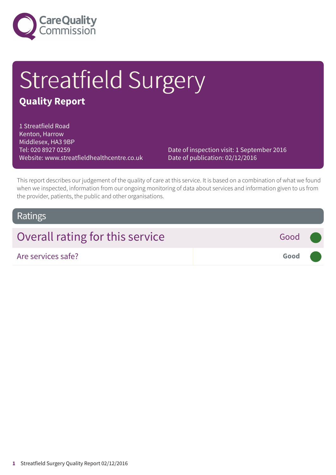

# Streatfield Surgery

### **Quality Report**

1 Streatfield Road Kenton, Harrow Middlesex, HA3 9BP Tel: 020 8927 0259 Website: www.streatfieldhealthcentre.co.uk

Date of inspection visit: 1 September 2016 Date of publication: 02/12/2016

This report describes our judgement of the quality of care at this service. It is based on a combination of what we found when we inspected, information from our ongoing monitoring of data about services and information given to us from the provider, patients, the public and other organisations.

### Ratings

### Overall rating for this service **Fig. 3** Good

Are services safe? **Good –––**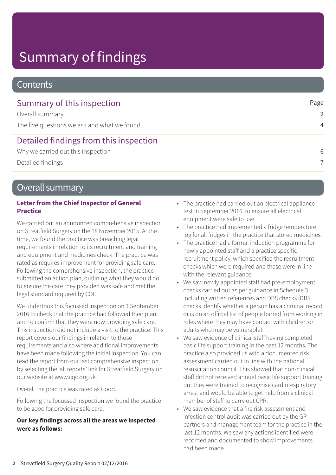# Summary of findings

### **Contents**

| Summary of this inspection<br>Overall summary | Page<br>$\mathcal{L}$ |
|-----------------------------------------------|-----------------------|
|                                               |                       |
| Detailed findings from this inspection        |                       |
| Why we carried out this inspection            | 6                     |
| Detailed findings                             | 7                     |

### Overall summary

#### **Letter from the Chief Inspector of General Practice**

We carried out an announced comprehensive inspection on Streatfield Surgery on the 18 November 2015. At the time, we found the practice was breaching legal requirements in relation to its recruitment and training and equipment and medicines check. The practice was rated as requires improvement for providing safe care. Following the comprehensive inspection, the practice submitted an action plan, outlining what they would do to ensure the care they provided was safe and met the legal standard required by CQC.

We undertook this focussed inspection on 1 September 2016 to check that the practice had followed their plan and to confirm that they were now providing safe care. This inspection did not include a visit to the practice. This report covers our findings in relation to those requirements and also where additional improvements have been made following the initial inspection. You can read the report from our last comprehensive inspection by selecting the 'all reports' link for Streatfield Surgery on our website at www.cqc.org.uk.

Overall the practice was rated as Good.

Following the focussed inspection we found the practice to be good for providing safe care.

#### **Our key findings across all the areas we inspected were as follows:**

- The practice had carried out an electrical appliance test in September 2016, to ensure all electrical equipment were safe to use.
- The practice had implemented a fridge temperature log for all fridges in the practice that stored medicines.
- The practice had a formal induction programme for newly appointed staff and a practice specific recruitment policy, which specified the recruitment checks which were required and these were in line with the relevant guidance.
- We saw newly appointed staff had pre-employment checks carried out as per guidance in Schedule 3, including written references and DBS checks (DBS checks identify whether a person has a criminal record or is on an official list of people barred from working in roles where they may have contact with children or adults who may be vulnerable).
- We saw evidence of clinical staff having completed basic life support training in the past 12 months. The practice also provided us with a documented risk assessment carried out in line with the national resuscitation council. This showed that non-clinical staff did not received annual basic life support training but they were trained to recognise cardiorespiratory arrest and would be able to get help from a clinical member of staff to carry out CPR.
- We saw evidence that a fire risk assessment and infection control audit was carried out by the GP partners and management team for the practice in the last 12 months. We saw any actions identified were recorded and documented to show improvements had been made.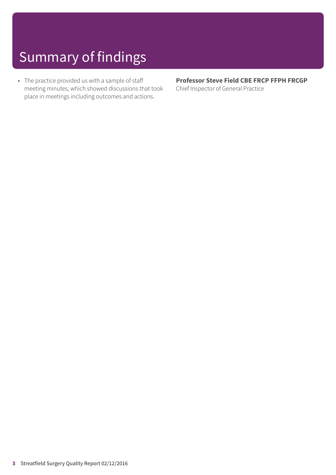# Summary of findings

• The practice provided us with a sample of staff meeting minutes, which showed discussions that took place in meetings including outcomes and actions.

**Professor Steve Field CBE FRCP FFPH FRCGP** Chief Inspector of General Practice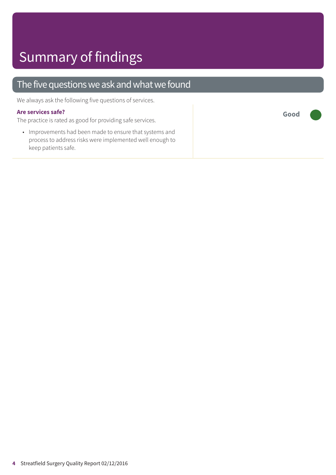### The five questions we ask and what we found

We always ask the following five questions of services.

#### **Are services safe?**

The practice is rated as good for providing safe services.

• Improvements had been made to ensure that systems and process to address risks were implemented well enough to keep patients safe.

**Good –––**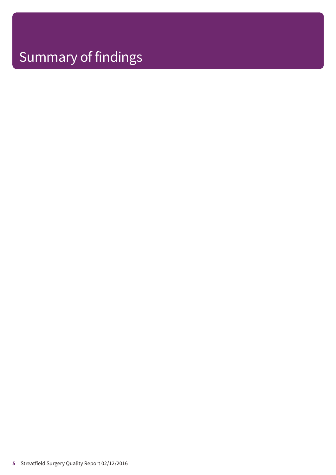# Summary of findings

**5** Streatfield Surgery Quality Report 02/12/2016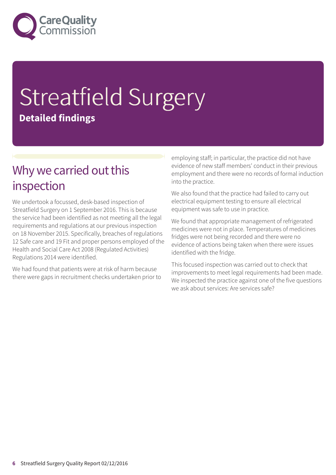

# Streatfield Surgery **Detailed findings**

### Why we carried out this inspection

We undertook a focussed, desk-based inspection of Streatfield Surgery on 1 September 2016. This is because the service had been identified as not meeting all the legal requirements and regulations at our previous inspection on 18 November 2015. Specifically, breaches of regulations 12 Safe care and 19 Fit and proper persons employed of the Health and Social Care Act 2008 (Regulated Activities) Regulations 2014 were identified.

We had found that patients were at risk of harm because there were gaps in recruitment checks undertaken prior to employing staff; in particular, the practice did not have evidence of new staff members' conduct in their previous employment and there were no records of formal induction into the practice.

We also found that the practice had failed to carry out electrical equipment testing to ensure all electrical equipment was safe to use in practice.

We found that appropriate management of refrigerated medicines were not in place. Temperatures of medicines fridges were not being recorded and there were no evidence of actions being taken when there were issues identified with the fridge.

This focused inspection was carried out to check that improvements to meet legal requirements had been made. We inspected the practice against one of the five questions we ask about services: Are services safe?